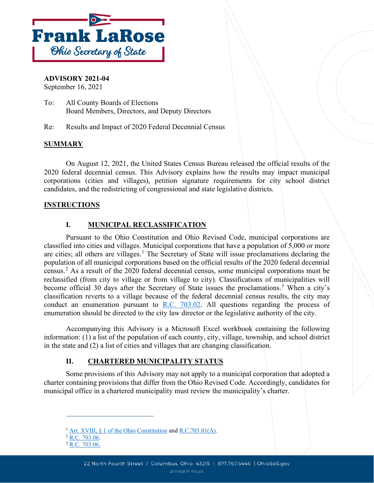

### **ADVISORY 2021-04**

September 16, 2021

To: All County Boards of Elections Board Members, Directors, and Deputy Directors

Re: Results and Impact of 2020 Federal Decennial Census

#### **SUMMARY**

On August 12, 2021, the United States Census Bureau released the official results of the 2020 federal decennial census. This Advisory explains how the results may impact municipal corporations (cities and villages), petition signature requirements for city school district candidates, and the redistricting of congressional and state legislative districts.

#### **INSTRUCTIONS**

# **I. MUNICIPAL RECLASSIFICATION**

Pursuant to the Ohio Constitution and Ohio Revised Code, municipal corporations are classified into cities and villages. Municipal corporations that have a population of 5,000 or more are cities; all others are villages.<sup>[1](#page-0-0)</sup> The Secretary of State will issue proclamations declaring the population of all municipal corporations based on the official results of the 2020 federal decennial census.[2](#page-0-1) As a result of the 2020 federal decennial census, some municipal corporations must be reclassified (from city to village or from village to city). Classifications of municipalities will become official [3](#page-0-2)0 days after the Secretary of State issues the proclamations.<sup>3</sup> When a city's classification reverts to a village because of the federal decennial census results, the city may conduct an enumeration pursuant to R.C.  $703.02$ . All questions regarding the process of enumeration should be directed to the city law director or the legislative authority of the city.

Accompanying this Advisory is a Microsoft Excel workbook containing the following information: (1) a list of the population of each county, city, village, township, and school district in the state and (2) a list of cities and villages that are changing classification.

# **II. CHARTERED MUNICIPALITY STATUS**

Some provisions of this Advisory may not apply to a municipal corporation that adopted a charter containing provisions that differ from the Ohio Revised Code. Accordingly, candidates for municipal office in a chartered municipality must review the municipality's charter.

<span id="page-0-1"></span><span id="page-0-0"></span><sup>&</sup>lt;sup>1</sup> Art. XVIII,  $\S$  1 of the Ohio Constitution an[d R.C.703.01\(A\).](https://codes.ohio.gov/ohio-revised-code/section-703.01)

<span id="page-0-2"></span> $2$  [R.C. 703.06.](https://codes.ohio.gov/ohio-revised-code/section-703.06)

 $3 \overline{R.C. 703.06}$ .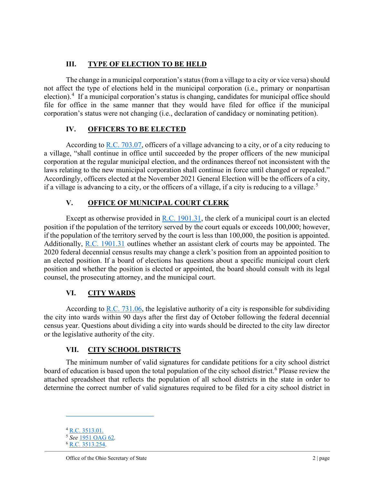# **III. TYPE OF ELECTION TO BE HELD**

The change in a municipal corporation's status (from a village to a city or vice versa) should not affect the type of elections held in the municipal corporation (i.e., primary or nonpartisan election).<sup>[4](#page-1-0)</sup> If a municipal corporation's status is changing, candidates for municipal office should file for office in the same manner that they would have filed for office if the municipal corporation's status were not changing (i.e., declaration of candidacy or nominating petition).

### **IV. OFFICERS TO BE ELECTED**

According to [R.C. 703.07,](https://codes.ohio.gov/ohio-revised-code/section-703.07) officers of a village advancing to a city, or of a city reducing to a village, "shall continue in office until succeeded by the proper officers of the new municipal corporation at the regular municipal election, and the ordinances thereof not inconsistent with the laws relating to the new municipal corporation shall continue in force until changed or repealed." Accordingly, officers elected at the November 2021 General Election will be the officers of a city, if a village is advancing to a city, or the officers of a village, if a city is reducing to a village.<sup>[5](#page-1-1)</sup>

# **V. OFFICE OF MUNICIPAL COURT CLERK**

Except as otherwise provided in [R.C. 1901.31,](https://codes.ohio.gov/ohio-revised-code/section-1901.31) the clerk of a municipal court is an elected position if the population of the territory served by the court equals or exceeds 100,000; however, if the population of the territory served by the court is less than 100,000, the position is appointed. Additionally, [R.C. 1901.31](https://codes.ohio.gov/ohio-revised-code/section-1901.31) outlines whether an assistant clerk of courts may be appointed. The 2020 federal decennial census results may change a clerk's position from an appointed position to an elected position. If a board of elections has questions about a specific municipal court clerk position and whether the position is elected or appointed, the board should consult with its legal counsel, the prosecuting attorney, and the municipal court.

# **VI. CITY WARDS**

According to [R.C. 731.06,](https://codes.ohio.gov/ohio-revised-code/section-731.06) the legislative authority of a city is responsible for subdividing the city into wards within 90 days after the first day of October following the federal decennial census year. Questions about dividing a city into wards should be directed to the city law director or the legislative authority of the city.

# **VII. CITY SCHOOL DISTRICTS**

The minimum number of valid signatures for candidate petitions for a city school district board of education is based upon the total population of the city school district.<sup>[6](#page-1-2)</sup> Please review the attached spreadsheet that reflects the population of all school districts in the state in order to determine the correct number of valid signatures required to be filed for a city school district in

<sup>4</sup> [R.C. 3513.01.](https://codes.ohio.gov/ohio-revised-code/section-3513.01)

<span id="page-1-2"></span><span id="page-1-1"></span><span id="page-1-0"></span><sup>5</sup> *See* [1951 OAG 62](https://www.ohioattorneygeneral.gov/getattachment/3e6428e0-99ef-4651-a7e7-286490c7c76f/1951-0062.aspx)*.*

<sup>&</sup>lt;sup>6</sup> R.C. 3513.254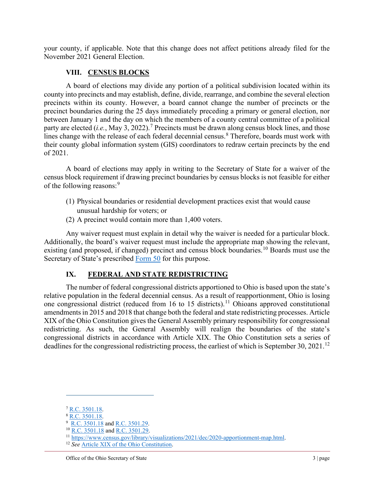your county, if applicable. Note that this change does not affect petitions already filed for the November 2021 General Election.

### **VIII. CENSUS BLOCKS**

A board of elections may divide any portion of a political subdivision located within its county into precincts and may establish, define, divide, rearrange, and combine the several election precincts within its county. However, a board cannot change the number of precincts or the precinct boundaries during the 25 days immediately preceding a primary or general election, nor between January 1 and the day on which the members of a county central committee of a political party are elected (*i.e.*, May 3, 2022). [7](#page-2-0) Precincts must be drawn along census block lines, and those lines change with the release of each federal decennial census.<sup>[8](#page-2-1)</sup> Therefore, boards must work with their county global information system (GIS) coordinators to redraw certain precincts by the end of 2021.

A board of elections may apply in writing to the Secretary of State for a waiver of the census block requirement if drawing precinct boundaries by census blocks is not feasible for either of the following reasons:<sup>[9](#page-2-2)</sup>

- (1) Physical boundaries or residential development practices exist that would cause unusual hardship for voters; or
- (2) A precinct would contain more than 1,400 voters.

Any waiver request must explain in detail why the waiver is needed for a particular block. Additionally, the board's waiver request must include the appropriate map showing the relevant, existing (and proposed, if changed) precinct and census block boundaries.<sup>[10](#page-2-3)</sup> Boards must use the Secretary of State's prescribed [Form 50](https://www.sos.state.oh.us/globalassets/elections/forms/50.pdf) for this purpose.

# **IX. FEDERAL AND STATE REDISTRICTING**

The number of federal congressional districts apportioned to Ohio is based upon the state's relative population in the federal decennial census. As a result of reapportionment, Ohio is losing one congressional district (reduced from 16 to 15 districts).<sup>[11](#page-2-4)</sup> Ohioans approved constitutional amendments in 2015 and 2018 that change both the federal and state redistricting processes. Article XIX of the Ohio Constitution gives the General Assembly primary responsibility for congressional redistricting. As such, the General Assembly will realign the boundaries of the state's congressional districts in accordance with Article XIX. The Ohio Constitution sets a series of deadlines for the congressional redistricting process, the earliest of which is September 30, 2021.<sup>[12](#page-2-5)</sup>

<span id="page-2-1"></span><span id="page-2-0"></span> $\frac{7}{8}$  [R.C. 3501.18.](https://codes.ohio.gov/ohio-revised-code/section-3501.18)<br> $\frac{8}{8}$  R.C. 3501.18.

<sup>&</sup>lt;sup>8</sup> <u>[R.C. 3501.18](https://codes.ohio.gov/ohio-revised-code/section-3501.18)</u>.<br><sup>9</sup> <u>R.C. 3501.18</u> and <u>R.C. 3501.29</u>.

<span id="page-2-2"></span><sup>&</sup>lt;sup>10</sup> [R.C. 3501.18](https://codes.ohio.gov/ohio-revised-code/section-3501.18) and [R.C. 3501.29.](https://codes.ohio.gov/ohio-revised-code/section-3501.29)

<sup>11</sup> [https://www.census.gov/library/visualizations/2021/dec/2020-apportionment-map.html.](https://www.census.gov/library/visualizations/2021/dec/2020-apportionment-map.html) 12 *See* [Article XIX of the Ohio Constitution.](https://codes.ohio.gov/ohio-constitution/article-19)

<span id="page-2-5"></span><span id="page-2-4"></span><span id="page-2-3"></span>